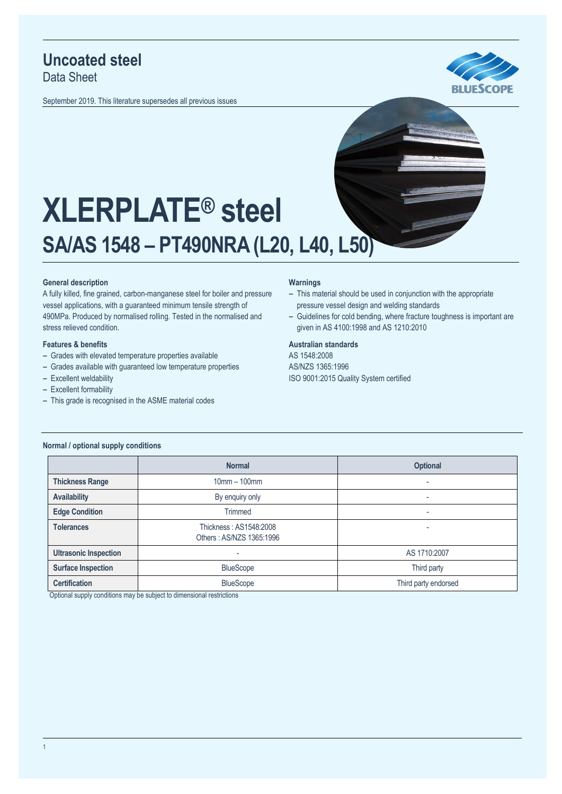# **Uncoated steel**

Data Sheet

September 2019. This literature supersedes all previous issues





# **XLERPLATE® steel SA/AS 1548 – PT490NRA (L20, L40, L50)**

## **General description**

A fully killed, fine grained, carbon-manganese steel for boiler and pressure vessel applications, with a guaranteed minimum tensile strength of 490MPa. Produced by normalised rolling. Tested in the normalised and stress relieved condition.

#### **Features & benefits**

- Grades with elevated temperature properties available
- Grades available with guaranteed low temperature properties
- Excellent weldability
- Excellent formability
- ‒ This grade is recognised in the ASME material codes

#### **Warnings**

- This material should be used in conjunction with the appropriate pressure vessel design and welding standards
- Guidelines for cold bending, where fracture toughness is important are given in AS 4100:1998 and AS 1210:2010

#### **Australian standards**

AS 1548:2008 AS/NZS 1365:1996 ISO 9001:2015 Quality System certified

|                              | <b>Normal</b>                                      | <b>Optional</b>      |  |
|------------------------------|----------------------------------------------------|----------------------|--|
| <b>Thickness Range</b>       | $10mm - 100mm$                                     | ۰                    |  |
| <b>Availability</b>          | By enquiry only                                    | ٠                    |  |
| <b>Edge Condition</b>        | Trimmed                                            | ٠                    |  |
| <b>Tolerances</b>            | Thickness: AS1548:2008<br>Others: AS/NZS 1365:1996 | ۰                    |  |
| <b>Ultrasonic Inspection</b> | ۰                                                  | AS 1710:2007         |  |
| <b>Surface Inspection</b>    | <b>BlueScope</b>                                   | Third party          |  |
| <b>Certification</b>         | <b>BlueScope</b>                                   | Third party endorsed |  |

Optional supply conditions may be subject to dimensional restrictions

#### **Normal / optional supply conditions**